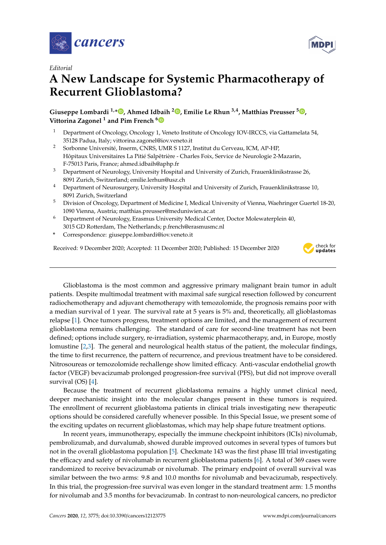

*Editorial*

## **A New Landscape for Systemic Pharmacotherapy of Recurrent Glioblastoma?**

**Giuseppe Lombardi 1,\* [,](https://orcid.org/0000-0003-1316-2132) Ahmed Idbaih <sup>2</sup> [,](https://orcid.org/0000-0001-5290-1204) Emilie Le Rhun 3,4, Matthias Preusser <sup>5</sup> [,](https://orcid.org/0000-0003-3541-2315) Vittorina Zagonel <sup>1</sup> and Pim French [6](https://orcid.org/0000-0002-0668-9529)**

- <sup>1</sup> Department of Oncology, Oncology 1, Veneto Institute of Oncology IOV-IRCCS, via Gattamelata 54, 35128 Padua, Italy; vittorina.zagonel@iov.veneto.it
- <sup>2</sup> Sorbonne Université, Inserm, CNRS, UMR S 1127, Institut du Cerveau, ICM, AP-HP, Hôpitaux Universitaires La Pitié Salpêtrière - Charles Foix, Service de Neurologie 2-Mazarin, F-75013 Paris, France; ahmed.idbaih@aphp.fr
- <sup>3</sup> Department of Neurology, University Hospital and University of Zurich, Frauenklinikstrasse 26, 8091 Zurich, Switzerland; emilie.lerhun@usz.ch
- <sup>4</sup> Department of Neurosurgery, University Hospital and University of Zurich, Frauenklinikstrasse 10, 8091 Zurich, Switzerland
- <sup>5</sup> Division of Oncology, Department of Medicine I, Medical University of Vienna, Waehringer Guertel 18-20, 1090 Vienna, Austria; matthias.preusser@meduniwien.ac.at
- <sup>6</sup> Department of Neurology, Erasmus University Medical Center, Doctor Molewaterplein 40, 3015 GD Rotterdam, The Netherlands; p.french@erasmusmc.nl
- **\*** Correspondence: giuseppe.lombardi@iov.veneto.it

Received: 9 December 2020; Accepted: 11 December 2020; Published: 15 December 2020



**MDPI** 

Glioblastoma is the most common and aggressive primary malignant brain tumor in adult patients. Despite multimodal treatment with maximal safe surgical resection followed by concurrent radiochemotherapy and adjuvant chemotherapy with temozolomide, the prognosis remains poor with a median survival of 1 year. The survival rate at 5 years is 5% and, theoretically, all glioblastomas relapse [\[1\]](#page-2-0). Once tumors progress, treatment options are limited, and the management of recurrent glioblastoma remains challenging. The standard of care for second-line treatment has not been defined; options include surgery, re-irradiation, systemic pharmacotherapy, and, in Europe, mostly lomustine [\[2,](#page-2-1)[3\]](#page-2-2). The general and neurological health status of the patient, the molecular findings, the time to first recurrence, the pattern of recurrence, and previous treatment have to be considered. Nitrosoureas or temozolomide rechallenge show limited efficacy. Anti-vascular endothelial growth factor (VEGF) bevacizumab prolonged progression-free survival (PFS), but did not improve overall survival (OS) [\[4\]](#page-2-3).

Because the treatment of recurrent glioblastoma remains a highly unmet clinical need, deeper mechanistic insight into the molecular changes present in these tumors is required. The enrollment of recurrent glioblastoma patients in clinical trials investigating new therapeutic options should be considered carefully whenever possible. In this Special Issue, we present some of the exciting updates on recurrent glioblastomas, which may help shape future treatment options.

In recent years, immunotherapy, especially the immune checkpoint inhibitors (ICIs) nivolumab, pembrolizumab, and durvalumab, showed durable improved outcomes in several types of tumors but not in the overall glioblastoma population [\[5\]](#page-2-4). Checkmate 143 was the first phase III trial investigating the efficacy and safety of nivolumab in recurrent glioblastoma patients [\[6\]](#page-2-5). A total of 369 cases were randomized to receive bevacizumab or nivolumab. The primary endpoint of overall survival was similar between the two arms: 9.8 and 10.0 months for nivolumab and bevacizumab, respectively. In this trial, the progression-free survival was even longer in the standard treatment arm: 1.5 months for nivolumab and 3.5 months for bevacizumab. In contrast to non-neurological cancers, no predictor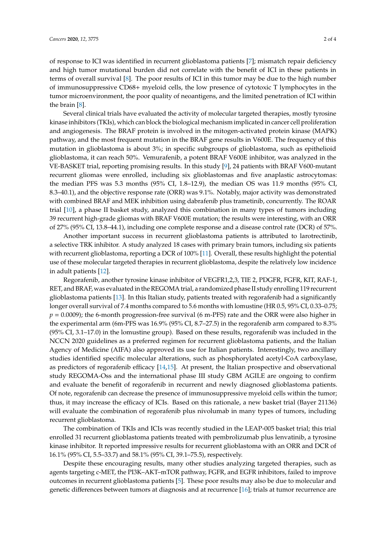of response to ICI was identified in recurrent glioblastoma patients [\[7\]](#page-2-6); mismatch repair deficiency and high tumor mutational burden did not correlate with the benefit of ICI in these patients in terms of overall survival [\[8\]](#page-2-7). The poor results of ICI in this tumor may be due to the high number of immunosuppressive CD68+ myeloid cells, the low presence of cytotoxic T lymphocytes in the tumor microenvironment, the poor quality of neoantigens, and the limited penetration of ICI within the brain [\[8\]](#page-2-7).

Several clinical trials have evaluated the activity of molecular targeted therapies, mostly tyrosine kinase inhibitors (TKIs), which can block the biological mechanism implicated in cancer cell proliferation and angiogenesis. The BRAF protein is involved in the mitogen-activated protein kinase (MAPK) pathway, and the most frequent mutation in the BRAF gene results in V600E. The frequency of this mutation in glioblastoma is about 3%; in specific subgroups of glioblastoma, such as epithelioid glioblastoma, it can reach 50%. Vemurafenib, a potent BRAF V600E inhibitor, was analyzed in the VE-BASKET trial, reporting promising results. In this study [\[9\]](#page-2-8), 24 patients with BRAF V600-mutant recurrent gliomas were enrolled, including six glioblastomas and five anaplastic astrocytomas: the median PFS was 5.3 months (95% CI, 1.8–12.9), the median OS was 11.9 months (95% CI, 8.3–40.1), and the objective response rate (ORR) was 9.1%. Notably, major activity was demonstrated with combined BRAF and MEK inhibition using dabrafenib plus trametinib, concurrently. The ROAR trial [\[10\]](#page-3-0), a phase II basket study, analyzed this combination in many types of tumors including 39 recurrent high-grade gliomas with BRAF V600E mutation; the results were interesting, with an ORR of 27% (95% CI, 13.8–44.1), including one complete response and a disease control rate (DCR) of 57%.

Another important success in recurrent glioblastoma patients is attributed to larotrectinib, a selective TRK inhibitor. A study analyzed 18 cases with primary brain tumors, including six patients with recurrent glioblastoma, reporting a DCR of 100% [\[11\]](#page-3-1). Overall, these results highlight the potential use of these molecular targeted therapies in recurrent glioblastoma, despite the relatively low incidence in adult patients [\[12\]](#page-3-2).

Regorafenib, another tyrosine kinase inhibitor of VEGFR1,2,3, TIE 2, PDGFR, FGFR, KIT, RAF-1, RET, and BRAF, was evaluated in the REGOMA trial, a randomized phase II study enrolling 119 recurrent glioblastoma patients [\[13\]](#page-3-3). In this Italian study, patients treated with regorafenib had a significantly longer overall survival of 7.4 months compared to 5.6 months with lomustine (HR 0.5, 95% CI, 0.33–0.75;  $p = 0.0009$ ; the 6-month progression-free survival (6 m-PFS) rate and the ORR were also higher in the experimental arm (6m-PFS was 16.9% (95% CI, 8.7–27.5) in the regorafenib arm compared to 8.3% (95% CI, 3.1–17.0) in the lomustine group). Based on these results, regorafenib was included in the NCCN 2020 guidelines as a preferred regimen for recurrent glioblastoma patients, and the Italian Agency of Medicine (AIFA) also approved its use for Italian patients. Interestingly, two ancillary studies identified specific molecular alterations, such as phosphorylated acetyl-CoA carboxylase, as predictors of regorafenib efficacy [\[14](#page-3-4)[,15\]](#page-3-5). At present, the Italian prospective and observational study REGOMA-Oss and the international phase III study GBM AGILE are ongoing to confirm and evaluate the benefit of regorafenib in recurrent and newly diagnosed glioblastoma patients. Of note, regorafenib can decrease the presence of immunosuppressive myeloid cells within the tumor; thus, it may increase the efficacy of ICIs. Based on this rationale, a new basket trial (Bayer 21136) will evaluate the combination of regorafenib plus nivolumab in many types of tumors, including recurrent glioblastoma.

The combination of TKIs and ICIs was recently studied in the LEAP-005 basket trial; this trial enrolled 31 recurrent glioblastoma patients treated with pembrolizumab plus lenvatinib, a tyrosine kinase inhibitor. It reported impressive results for recurrent glioblastoma with an ORR and DCR of 16.1% (95% CI, 5.5–33.7) and 58.1% (95% CI, 39.1–75.5), respectively.

Despite these encouraging results, many other studies analyzing targeted therapies, such as agents targeting c-MET, the PI3K–AKT–mTOR pathway, FGFR, and EGFR inhibitors, failed to improve outcomes in recurrent glioblastoma patients [\[5\]](#page-2-4). These poor results may also be due to molecular and genetic differences between tumors at diagnosis and at recurrence [\[16\]](#page-3-6); trials at tumor recurrence are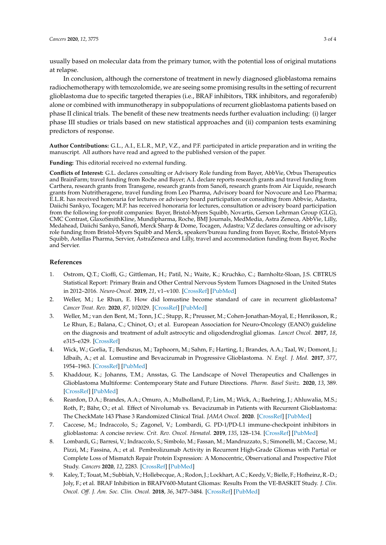usually based on molecular data from the primary tumor, with the potential loss of original mutations at relapse.

In conclusion, although the cornerstone of treatment in newly diagnosed glioblastoma remains radiochemotherapy with temozolomide, we are seeing some promising results in the setting of recurrent glioblastoma due to specific targeted therapies (i.e., BRAF inhibitors, TRK inhibitors, and regorafenib) alone or combined with immunotherapy in subpopulations of recurrent glioblastoma patients based on phase II clinical trials. The benefit of these new treatments needs further evaluation including: (i) larger phase III studies or trials based on new statistical approaches and (ii) companion tests examining predictors of response.

**Author Contributions:** G.L., A.I., E.L.R., M.P., V.Z., and P.F. participated in article preparation and in writing the manuscript. All authors have read and agreed to the published version of the paper.

**Funding:** This editorial received no external funding.

**Conflicts of Interest:** G.L. declares consulting or Advisory Role funding from Bayer, AbbVie, Orbus Therapeutics and BrainFarm; travel funding from Roche and Bayer; A.I. declare reports research grants and travel funding from Carthera, research grants from Transgene, research grants from Sanofi, research grants from Air Liquide, research grants from Nutritheragene, travel funding from Leo Pharma, Advisory board for Novocure and Leo Pharma; E.L.R. has received honoraria for lectures or advisory board participation or consulting from Abbvie, Adastra, Daiichi Sankyo, Tocagen; M.P. has received honoraria for lectures, consultation or advisory board participation from the following for-profit companies: Bayer, Bristol-Myers Squibb, Novartis, Gerson Lehrman Group (GLG), CMC Contrast, GlaxoSmithKline, Mundipharma, Roche, BMJ Journals, MedMedia, Astra Zeneca, AbbVie, Lilly, Medahead, Daiichi Sankyo, Sanofi, Merck Sharp & Dome, Tocagen, Adastra; V.Z declares consulting or advisory role funding from Bristol-Myers Squibb and Merck, speakers'bureau funding from Bayer, Roche, Bristol-Myers Squibb, Astellas Pharma, Servier, AstraZeneca and Lilly, travel and accommodation funding from Bayer, Roche and Servier.

## **References**

- <span id="page-2-0"></span>1. Ostrom, Q.T.; Cioffi, G.; Gittleman, H.; Patil, N.; Waite, K.; Kruchko, C.; Barnholtz-Sloan, J.S. CBTRUS Statistical Report: Primary Brain and Other Central Nervous System Tumors Diagnosed in the United States in 2012–2016. *Neuro-Oncol.* **2019**, *21*, v1–v100. [\[CrossRef\]](http://dx.doi.org/10.1093/neuonc/noz150) [\[PubMed\]](http://www.ncbi.nlm.nih.gov/pubmed/31675094)
- <span id="page-2-1"></span>2. Weller, M.; Le Rhun, E. How did lomustine become standard of care in recurrent glioblastoma? *Cancer Treat. Rev.* **2020**, *87*, 102029. [\[CrossRef\]](http://dx.doi.org/10.1016/j.ctrv.2020.102029) [\[PubMed\]](http://www.ncbi.nlm.nih.gov/pubmed/32408220)
- <span id="page-2-2"></span>3. Weller, M.; van den Bent, M.; Tonn, J.C.; Stupp, R.; Preusser, M.; Cohen-Jonathan-Moyal, E.; Henriksson, R.; Le Rhun, E.; Balana, C.; Chinot, O.; et al. European Association for Neuro-Oncology (EANO) guideline on the diagnosis and treatment of adult astrocytic and oligodendroglial gliomas. *Lancet Oncol.* **2017**, *18*, e315–e329. [\[CrossRef\]](http://dx.doi.org/10.1016/S1470-2045(17)30194-8)
- <span id="page-2-3"></span>4. Wick, W.; Gorlia, T.; Bendszus, M.; Taphoorn, M.; Sahm, F.; Harting, I.; Brandes, A.A.; Taal, W.; Domont, J.; Idbaih, A.; et al. Lomustine and Bevacizumab in Progressive Glioblastoma. *N. Engl. J. Med.* **2017**, *377*, 1954–1963. [\[CrossRef\]](http://dx.doi.org/10.1056/NEJMoa1707358) [\[PubMed\]](http://www.ncbi.nlm.nih.gov/pubmed/29141164)
- <span id="page-2-4"></span>5. Khaddour, K.; Johanns, T.M.; Ansstas, G. The Landscape of Novel Therapeutics and Challenges in Glioblastoma Multiforme: Contemporary State and Future Directions. *Pharm. Basel Switz.* **2020**, *13*, 389. [\[CrossRef\]](http://dx.doi.org/10.3390/ph13110389) [\[PubMed\]](http://www.ncbi.nlm.nih.gov/pubmed/33202642)
- <span id="page-2-5"></span>6. Reardon, D.A.; Brandes, A.A.; Omuro, A.; Mulholland, P.; Lim, M.; Wick, A.; Baehring, J.; Ahluwalia, M.S.; Roth, P.; Bähr, O.; et al. Effect of Nivolumab vs. Bevacizumab in Patients with Recurrent Glioblastoma: The CheckMate 143 Phase 3 Randomized Clinical Trial. *JAMA Oncol.* **2020**. [\[CrossRef\]](http://dx.doi.org/10.1001/jamaoncol.2020.1024) [\[PubMed\]](http://www.ncbi.nlm.nih.gov/pubmed/32437507)
- <span id="page-2-6"></span>7. Caccese, M.; Indraccolo, S.; Zagonel, V.; Lombardi, G. PD-1/PD-L1 immune-checkpoint inhibitors in glioblastoma: A concise review. *Crit. Rev. Oncol. Hematol.* **2019**, *135*, 128–134. [\[CrossRef\]](http://dx.doi.org/10.1016/j.critrevonc.2018.12.002) [\[PubMed\]](http://www.ncbi.nlm.nih.gov/pubmed/30819441)
- <span id="page-2-7"></span>8. Lombardi, G.; Barresi, V.; Indraccolo, S.; Simbolo, M.; Fassan, M.; Mandruzzato, S.; Simonelli, M.; Caccese, M.; Pizzi, M.; Fassina, A.; et al. Pembrolizumab Activity in Recurrent High-Grade Gliomas with Partial or Complete Loss of Mismatch Repair Protein Expression: A Monocentric, Observational and Prospective Pilot Study. *Cancers* **2020**, *12*, 2283. [\[CrossRef\]](http://dx.doi.org/10.3390/cancers12082283) [\[PubMed\]](http://www.ncbi.nlm.nih.gov/pubmed/32823925)
- <span id="page-2-8"></span>9. Kaley, T.; Touat,M.; Subbiah, V.; Hollebecque, A.; Rodon, J.; Lockhart, A.C.; Keedy, V.; Bielle, F.; Hofheinz, R.-D.; Joly, F.; et al. BRAF Inhibition in BRAFV600-Mutant Gliomas: Results From the VE-BASKET Study. *J. Clin. Oncol. O*ff*. J. Am. Soc. Clin. Oncol.* **2018**, *36*, 3477–3484. [\[CrossRef\]](http://dx.doi.org/10.1200/JCO.2018.78.9990) [\[PubMed\]](http://www.ncbi.nlm.nih.gov/pubmed/30351999)